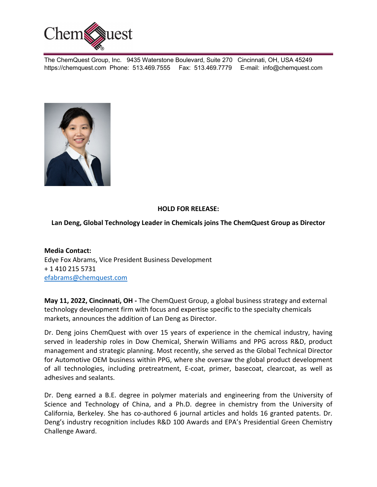

The ChemQuest Group, Inc. 9435 Waterstone Boulevard, Suite 270 Cincinnati, OH, USA 45249 https://chemquest.com Phone: 513.469.7555 Fax: 513.469.7779 E-mail: info@chemquest.com



## **HOLD FOR RELEASE:**

## **Lan Deng, Global Technology Leader in Chemicals joins The ChemQuest Group as Director**

**Media Contact:** Edye Fox Abrams, Vice President Business Development + 1 410 215 5731 efabrams@chemquest.com

**May 11, 2022, Cincinnati, OH -** The ChemQuest Group, a global business strategy and external technology development firm with focus and expertise specific to the specialty chemicals markets, announces the addition of Lan Deng as Director.

Dr. Deng joins ChemQuest with over 15 years of experience in the chemical industry, having served in leadership roles in Dow Chemical, Sherwin Williams and PPG across R&D, product management and strategic planning. Most recently, she served as the Global Technical Director for Automotive OEM business within PPG, where she oversaw the global product development of all technologies, including pretreatment, E-coat, primer, basecoat, clearcoat, as well as adhesives and sealants.

Dr. Deng earned a B.E. degree in polymer materials and engineering from the University of Science and Technology of China, and a Ph.D. degree in chemistry from the University of California, Berkeley. She has co-authored 6 journal articles and holds 16 granted patents. Dr. Deng's industry recognition includes R&D 100 Awards and EPA's Presidential Green Chemistry Challenge Award.